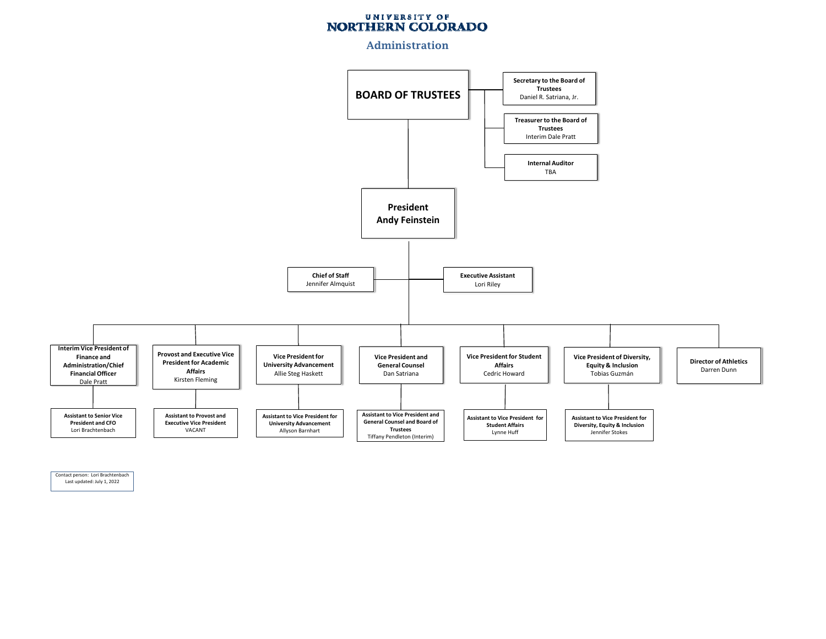## UNIVERSITY OF NORTHERN COLORADO

#### Administration



Contact person: Lori Brachtenbach Last updated: July 1, 2022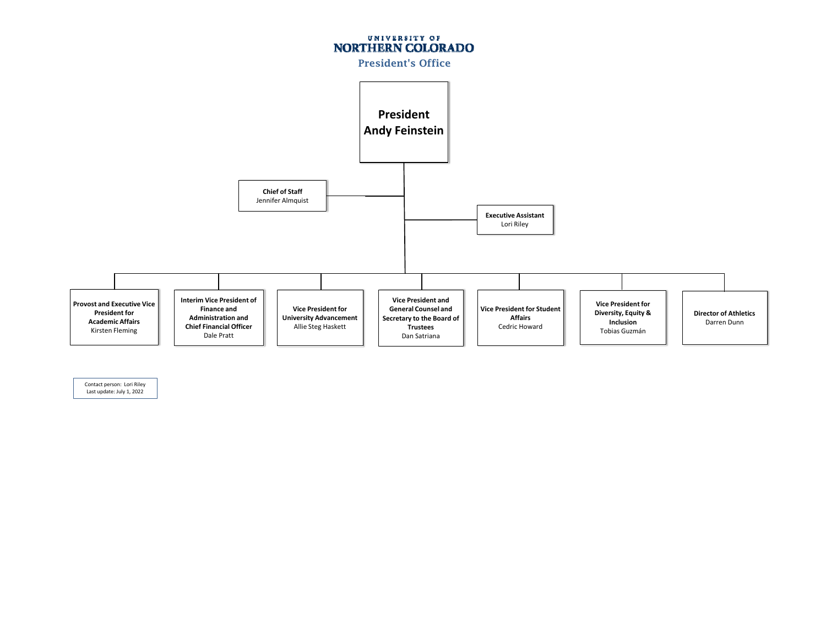

Contact person: Lori Riley Last update: July 1, 2022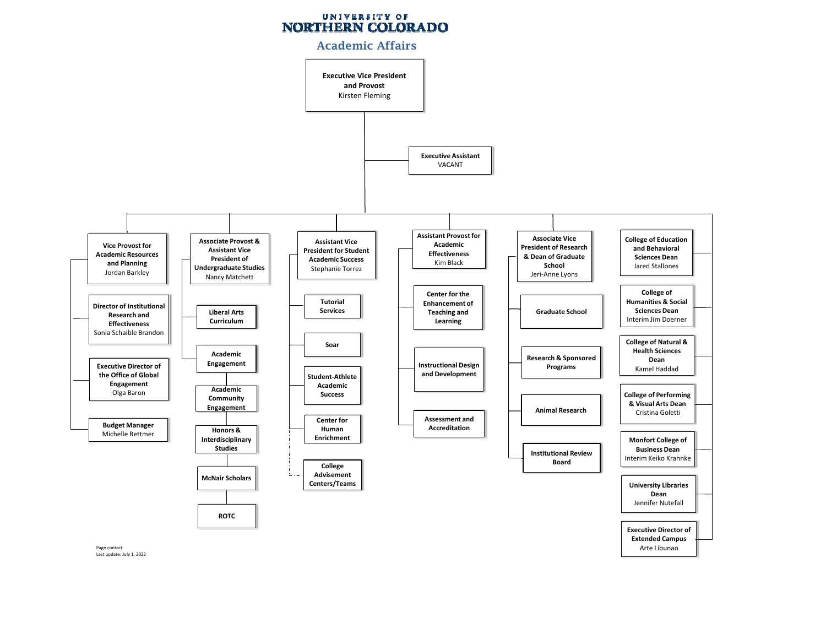# UNIVERSITY OF NORTHERN COLORADO

### Academic Affairs

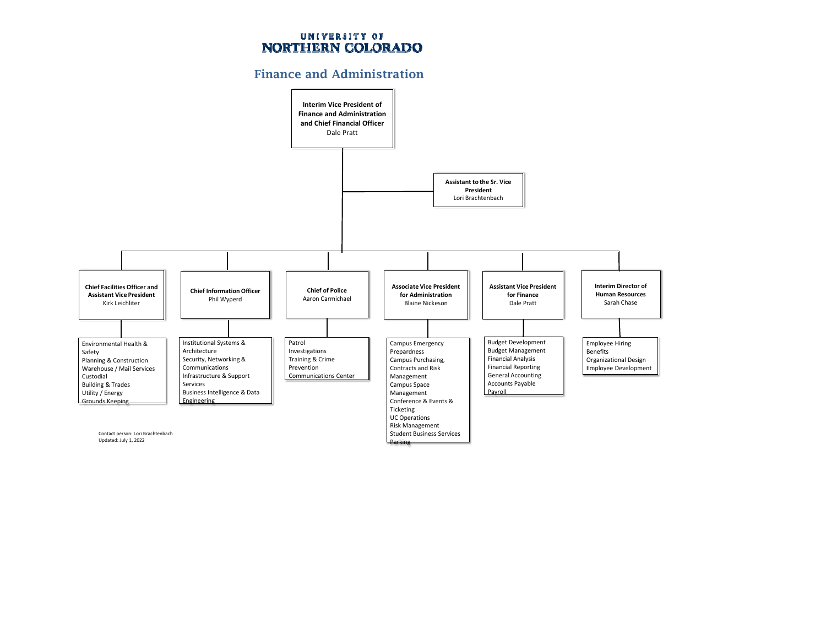## UNIVERSITY OF NORTHERN COLORADO

## Finance and Administration

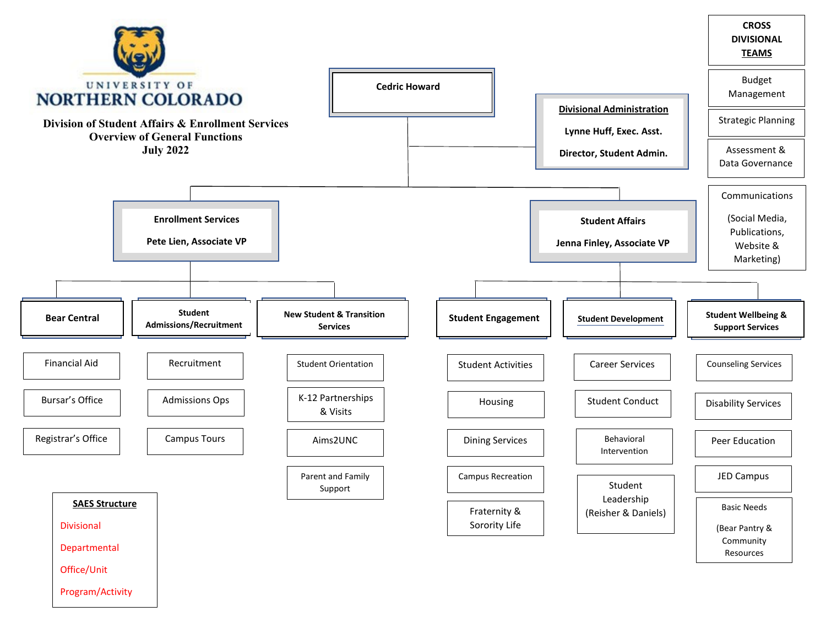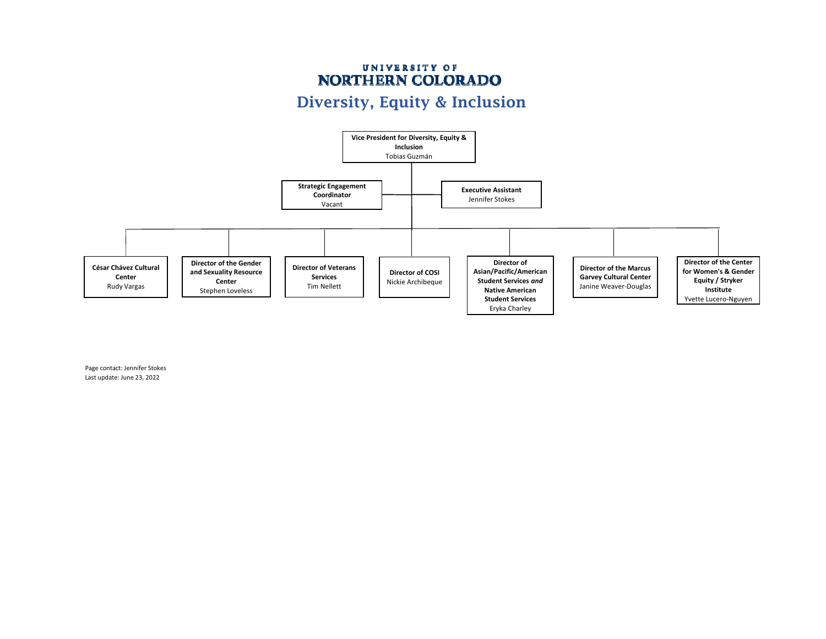## UNIVERSITY OF NORTHERN COLORADO Diversity, Equity & Inclusion



Page contact: Jennifer Stokes Last update: June 23, 2022